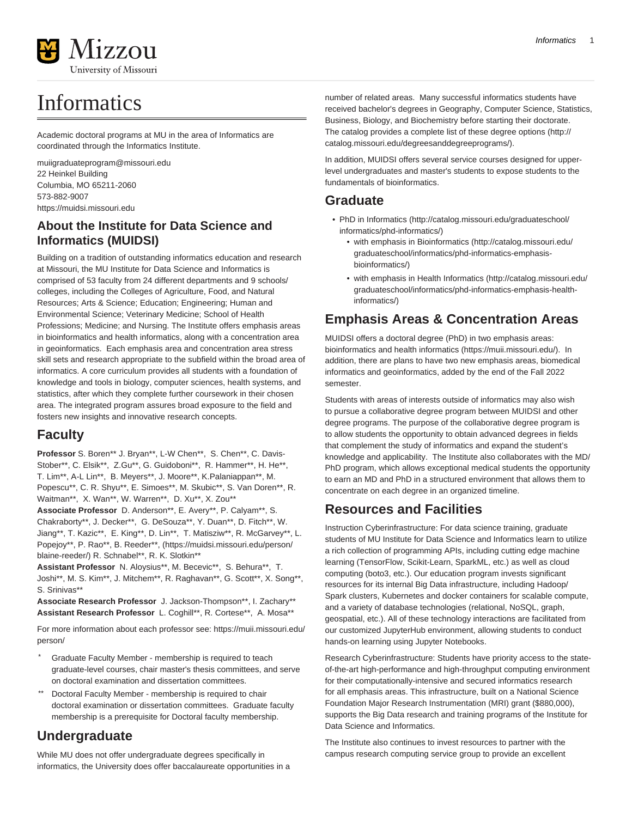# Informatics

Academic doctoral programs at MU in the area of Informatics are coordinated through the Informatics Institute.

[muiigraduateprogram@missouri.edu](mailto:muiigraduateprogram@missouri.edu) 22 Heinkel Building Columbia, MO 65211-2060 573-882-9007 <https://muidsi.missouri.edu>

# **About the Institute for Data Science and Informatics (MUIDSI)**

Building on a tradition of outstanding informatics education and research at Missouri, the MU Institute for Data Science and Informatics is comprised of 53 faculty from 24 different departments and 9 schools/ colleges, including the Colleges of Agriculture, Food, and Natural Resources; Arts & Science; Education; Engineering; Human and Environmental Science; Veterinary Medicine; School of Health Professions; Medicine; and Nursing. The Institute offers emphasis areas in bioinformatics and health informatics, along with a concentration area in geoinformatics. Each emphasis area and concentration area stress skill sets and research appropriate to the subfield within the broad area of informatics. A core curriculum provides all students with a foundation of knowledge and tools in biology, computer sciences, health systems, and statistics, after which they complete further coursework in their chosen area. The integrated program assures broad exposure to the field and fosters new insights and innovative research concepts.

# **Faculty**

**Professor** S. Boren\*\* J. Bryan\*\*, L-W Chen\*\*, S. Chen\*\*, C. Davis-Stober\*\*, C. Elsik\*\*, Z.Gu\*\*, G. Guidoboni\*\*, R. Hammer\*\*, H. He\*\*, T. Lim\*\*, A-L Lin\*\*, B. Meyers\*\*, J. Moore\*\*, K.Palaniappan\*\*, M. Popescu\*\*, C. R. Shyu\*\*, E. Simoes\*\*, M. Skubic\*\*, S. Van Doren\*\*, R. Waitman\*\*, X. Wan\*\*, W. Warren\*\*, D. Xu\*\*, X. Zou\*\*

**Associate Professor** D. Anderson\*\*, E. Avery\*\*, P. Calyam\*\*, S. Chakraborty\*\*, J. Decker\*\*, G. DeSouza\*\*, Y. Duan\*\*, D. Fitch\*\*, W. Jiang\*\*, T. Kazic\*\*, E. King\*\*, D. Lin\*\*, T. Matisziw\*\*, R. McGarvey\*\*, L. Popejoy\*\*, P. Rao\*\*, B. Reeder\*\*[,](https://muidsi.missouri.edu/person/blaine-reeder/) [\(https://muidsi.missouri.edu/person/](https://muidsi.missouri.edu/person/blaine-reeder/) [blaine-reeder/](https://muidsi.missouri.edu/person/blaine-reeder/)) R. Schnabel\*\*, R. K. Slotkin\*\*

**Assistant Professor** N. Aloysius\*\*, M. Becevic\*\*, S. Behura\*\*, T. Joshi\*\*, M. S. Kim\*\*, J. Mitchem\*\*, R. Raghavan\*\*, G. Scott\*\*, X. Song\*\*, S. Srinivas\*\*

**Associate Research Professor** J. Jackson-Thompson\*\*, I. Zachary\*\* **Assistant Research Professor** L. Coghill\*\*, R. Cortese\*\*, A. Mosa\*\*

For more information about each professor see: [https://muii.missouri.edu/](https://muii.missouri.edu/person/) [person/](https://muii.missouri.edu/person/)

- Graduate Faculty Member membership is required to teach graduate-level courses, chair master's thesis committees, and serve on doctoral examination and dissertation committees.
- Doctoral Faculty Member membership is required to chair doctoral examination or dissertation committees. Graduate faculty membership is a prerequisite for Doctoral faculty membership.

# **Undergraduate**

While MU does not offer undergraduate degrees specifically in informatics, the University does offer baccalaureate opportunities in a number of related areas. Many successful informatics students have received bachelor's degrees in Geography, Computer Science, Statistics, Business, Biology, and Biochemistry before starting their doctorate. The catalog provides a [complete list of these degree options](http://catalog.missouri.edu/degreesanddegreeprograms/) [\(http://](http://catalog.missouri.edu/degreesanddegreeprograms/) [catalog.missouri.edu/degreesanddegreeprograms/\)](http://catalog.missouri.edu/degreesanddegreeprograms/).

In addition, MUIDSI offers several service courses designed for upperlevel undergraduates and master's students to expose students to the fundamentals of bioinformatics.

# **Graduate**

- [PhD in Informatics](http://catalog.missouri.edu/graduateschool/informatics/phd-informatics/) [\(http://catalog.missouri.edu/graduateschool/](http://catalog.missouri.edu/graduateschool/informatics/phd-informatics/) [informatics/phd-informatics/\)](http://catalog.missouri.edu/graduateschool/informatics/phd-informatics/)
	- [with emphasis in Bioinformatics \(http://catalog.missouri.edu/](http://catalog.missouri.edu/graduateschool/informatics/phd-informatics-emphasis-bioinformatics/) [graduateschool/informatics/phd-informatics-emphasis](http://catalog.missouri.edu/graduateschool/informatics/phd-informatics-emphasis-bioinformatics/)[bioinformatics/\)](http://catalog.missouri.edu/graduateschool/informatics/phd-informatics-emphasis-bioinformatics/)
	- [with emphasis in Health Informatics](http://catalog.missouri.edu/graduateschool/informatics/phd-informatics-emphasis-health-informatics/) ([http://catalog.missouri.edu/](http://catalog.missouri.edu/graduateschool/informatics/phd-informatics-emphasis-health-informatics/) [graduateschool/informatics/phd-informatics-emphasis-health](http://catalog.missouri.edu/graduateschool/informatics/phd-informatics-emphasis-health-informatics/)[informatics/\)](http://catalog.missouri.edu/graduateschool/informatics/phd-informatics-emphasis-health-informatics/)

# **Emphasis Areas & Concentration Areas**

MUIDSI offers a doctoral degree (PhD) in two emphasis areas: [bioinformatics and health informatics](https://muii.missouri.edu/) (<https://muii.missouri.edu/>). In addition, there are plans to have two new emphasis areas, biomedical informatics and geoinformatics, added by the end of the Fall 2022 semester.

Students with areas of interests outside of informatics may also wish to pursue a collaborative degree program between MUIDSI and other degree programs. The purpose of the collaborative degree program is to allow students the opportunity to obtain advanced degrees in fields that complement the study of informatics and expand the student's knowledge and applicability. The Institute also collaborates with the MD/ PhD program, which allows exceptional medical students the opportunity to earn an MD and PhD in a structured environment that allows them to concentrate on each degree in an organized timeline.

# **Resources and Facilities**

Instruction Cyberinfrastructure: For data science training, graduate students of MU Institute for Data Science and Informatics learn to utilize a rich collection of programming APIs, including cutting edge machine learning (TensorFlow, Scikit-Learn, SparkML, etc.) as well as cloud computing (boto3, etc.). Our education program invests significant resources for its internal Big Data infrastructure, including Hadoop/ Spark clusters, Kubernetes and docker containers for scalable compute, and a variety of database technologies (relational, NoSQL, graph, geospatial, etc.). All of these technology interactions are facilitated from our customized JupyterHub environment, allowing students to conduct hands-on learning using Jupyter Notebooks.

Research Cyberinfrastructure: Students have priority access to the stateof-the-art high-performance and high-throughput computing environment for their computationally-intensive and secured informatics research for all emphasis areas. This infrastructure, built on a National Science Foundation Major Research Instrumentation (MRI) grant (\$880,000), supports the Big Data research and training programs of the Institute for Data Science and Informatics.

The Institute also continues to invest resources to partner with the campus research computing service group to provide an excellent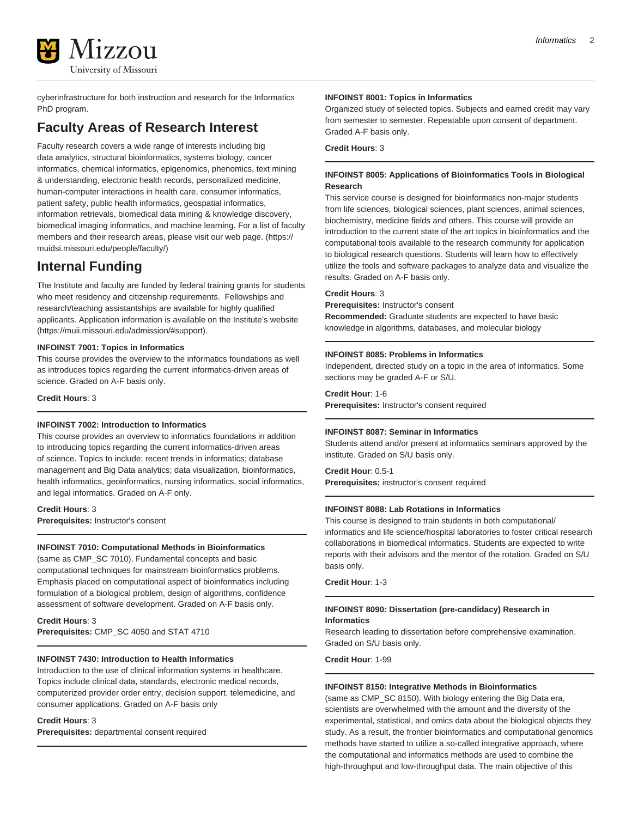

cyberinfrastructure for both instruction and research for the Informatics PhD program.

# **Faculty Areas of Research Interest**

Faculty research covers a wide range of interests including big data analytics, structural bioinformatics, systems biology, cancer informatics, chemical informatics, epigenomics, phenomics, text mining & understanding, electronic health records, personalized medicine, human-computer interactions in health care, consumer informatics, patient safety, public health informatics, geospatial informatics, information retrievals, biomedical data mining & knowledge discovery, biomedical imaging informatics, and machine learning. For a list of faculty members and their research areas, please visit our [web page.](https://muidsi.missouri.edu/people/faculty/) [\(https://](https://muidsi.missouri.edu/people/faculty/) [muidsi.missouri.edu/people/faculty/](https://muidsi.missouri.edu/people/faculty/))

# **Internal Funding**

The Institute and faculty are funded by federal training grants for students who meet residency and citizenship requirements. Fellowships and research/teaching assistantships are available for highly qualified applicants. Application information is available on the [Institute's website](https://muii.missouri.edu/admission/#support) (<https://muii.missouri.edu/admission/#support>).

# **INFOINST 7001: Topics in Informatics**

This course provides the overview to the informatics foundations as well as introduces topics regarding the current informatics-driven areas of science. Graded on A-F basis only.

**Credit Hours**: 3

# **INFOINST 7002: Introduction to Informatics**

This course provides an overview to informatics foundations in addition to introducing topics regarding the current informatics-driven areas of science. Topics to include: recent trends in informatics; database management and Big Data analytics; data visualization, bioinformatics, health informatics, geoinformatics, nursing informatics, social informatics, and legal informatics. Graded on A-F only.

# **Credit Hours**: 3

**Prerequisites:** Instructor's consent

# **INFOINST 7010: Computational Methods in Bioinformatics**

(same as CMP\_SC 7010). Fundamental concepts and basic computational techniques for mainstream bioinformatics problems. Emphasis placed on computational aspect of bioinformatics including formulation of a biological problem, design of algorithms, confidence assessment of software development. Graded on A-F basis only.

**Credit Hours**: 3 **Prerequisites:** CMP\_SC 4050 and STAT 4710

# **INFOINST 7430: Introduction to Health Informatics**

Introduction to the use of clinical information systems in healthcare. Topics include clinical data, standards, electronic medical records, computerized provider order entry, decision support, telemedicine, and consumer applications. Graded on A-F basis only

# **Credit Hours**: 3

**Prerequisites:** departmental consent required

# **INFOINST 8001: Topics in Informatics**

Organized study of selected topics. Subjects and earned credit may vary from semester to semester. Repeatable upon consent of department. Graded A-F basis only.

# **Credit Hours**: 3

# **INFOINST 8005: Applications of Bioinformatics Tools in Biological Research**

This service course is designed for bioinformatics non-major students from life sciences, biological sciences, plant sciences, animal sciences, biochemistry, medicine fields and others. This course will provide an introduction to the current state of the art topics in bioinformatics and the computational tools available to the research community for application to biological research questions. Students will learn how to effectively utilize the tools and software packages to analyze data and visualize the results. Graded on A-F basis only.

### **Credit Hours**: 3

**Prerequisites:** Instructor's consent

**Recommended:** Graduate students are expected to have basic knowledge in algorithms, databases, and molecular biology

### **INFOINST 8085: Problems in Informatics**

Independent, directed study on a topic in the area of informatics. Some sections may be graded A-F or S/U.

### **Credit Hour**: 1-6

**Prerequisites:** Instructor's consent required

### **INFOINST 8087: Seminar in Informatics**

Students attend and/or present at informatics seminars approved by the institute. Graded on S/U basis only.

# **Credit Hour**: 0.5-1

**Prerequisites:** instructor's consent required

# **INFOINST 8088: Lab Rotations in Informatics**

This course is designed to train students in both computational/ informatics and life science/hospital laboratories to foster critical research collaborations in biomedical informatics. Students are expected to write reports with their advisors and the mentor of the rotation. Graded on S/U basis only.

**Credit Hour**: 1-3

# **INFOINST 8090: Dissertation (pre-candidacy) Research in Informatics**

Research leading to dissertation before comprehensive examination. Graded on S/U basis only.

**Credit Hour**: 1-99

# **INFOINST 8150: Integrative Methods in Bioinformatics**

(same as CMP\_SC 8150). With biology entering the Big Data era, scientists are overwhelmed with the amount and the diversity of the experimental, statistical, and omics data about the biological objects they study. As a result, the frontier bioinformatics and computational genomics methods have started to utilize a so-called integrative approach, where the computational and informatics methods are used to combine the high-throughput and low-throughput data. The main objective of this